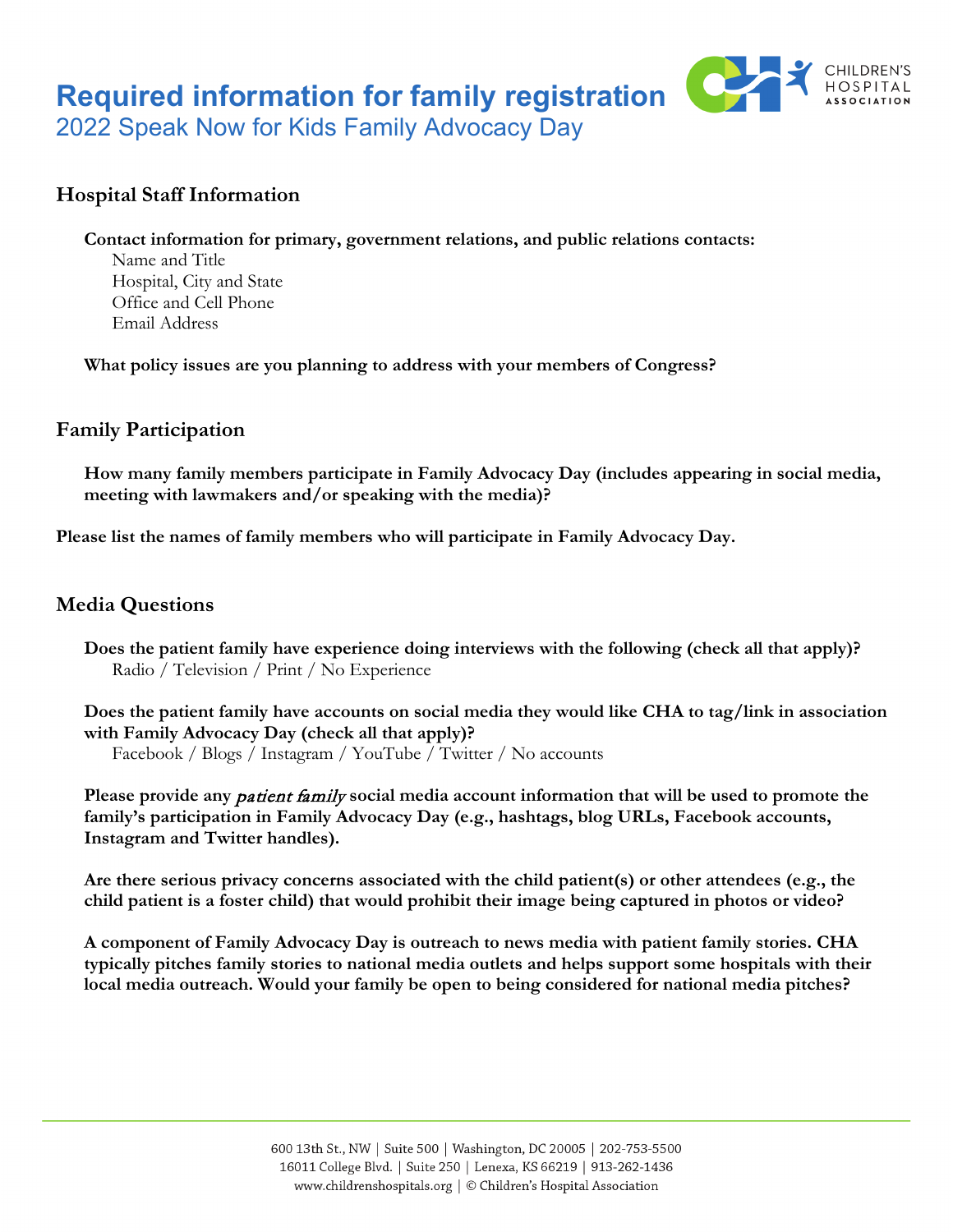# **Required information for family registration**



2022 Speak Now for Kids Family Advocacy Day

# **Hospital Staff Information**

#### **Contact information for primary, government relations, and public relations contacts:**

Name and Title Hospital, City and State Office and Cell Phone Email Address

**What policy issues are you planning to address with your members of Congress?**

## **Family Participation**

**How many family members participate in Family Advocacy Day (includes appearing in social media, meeting with lawmakers and/or speaking with the media)?**

**Please list the names of family members who will participate in Family Advocacy Day.**

## **Media Questions**

**Does the patient family have experience doing interviews with the following (check all that apply)?** Radio / Television / Print / No Experience

**Does the patient family have accounts on social media they would like CHA to tag/link in association with Family Advocacy Day (check all that apply)?**

Facebook / Blogs / Instagram / YouTube / Twitter / No accounts

**Please provide any** patient family **social media account information that will be used to promote the family's participation in Family Advocacy Day (e.g., hashtags, blog URLs, Facebook accounts, Instagram and Twitter handles).**

**Are there serious privacy concerns associated with the child patient(s) or other attendees (e.g., the child patient is a foster child) that would prohibit their image being captured in photos or video?**

**A component of Family Advocacy Day is outreach to news media with patient family stories. CHA typically pitches family stories to national media outlets and helps support some hospitals with their local media outreach. Would your family be open to being considered for national media pitches?**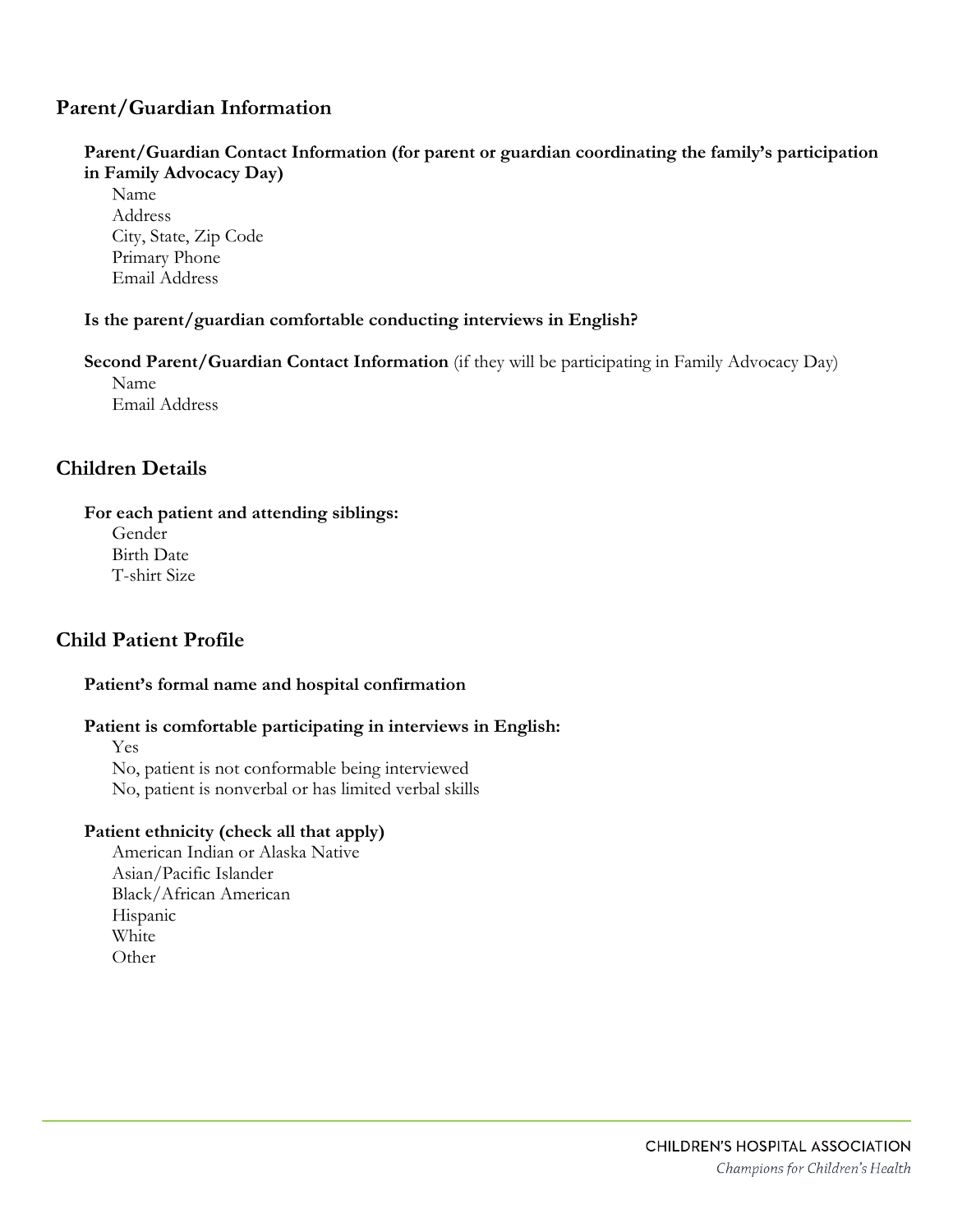## **Parent/Guardian Information**

## **Parent/Guardian Contact Information (for parent or guardian coordinating the family's participation in Family Advocacy Day)**

Name Address City, State, Zip Code Primary Phone Email Address

#### **Is the parent/guardian comfortable conducting interviews in English?**

**Second Parent/Guardian Contact Information** (if they will be participating in Family Advocacy Day) Name Email Address

## **Children Details**

#### **For each patient and attending siblings:**

Gender Birth Date T-shirt Size

## **Child Patient Profile**

## **Patient's formal name and hospital confirmation**

## **Patient is comfortable participating in interviews in English:**

Yes No, patient is not conformable being interviewed No, patient is nonverbal or has limited verbal skills

## **Patient ethnicity (check all that apply)**

American Indian or Alaska Native Asian/Pacific Islander Black/African American Hispanic White **Other**